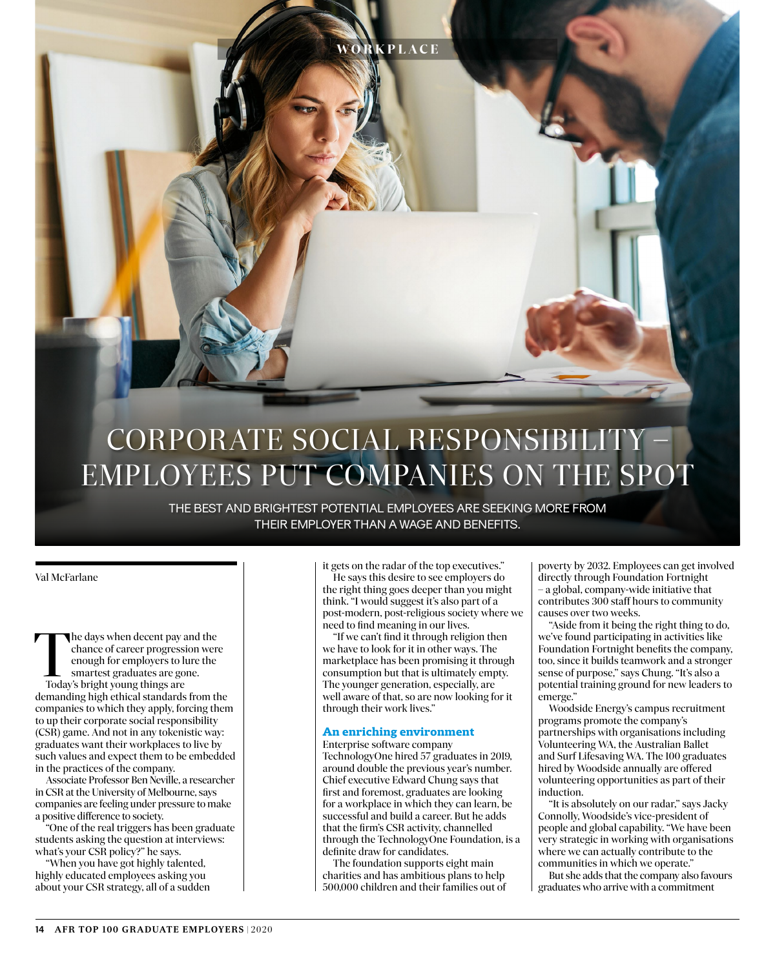

**RKPLACE** 

THE BEST AND BRIGHTEST POTENTIAL EMPLOYEES ARE SEEKING MORE FROM THEIR EMPLOYER THAN A WAGE AND BENEFITS.

#### Val McFarlane

The days when decent pay and the chance of career progression were enough for employers to lure the smartest graduates are gone. Today's bright young things are demanding high ethical standards from the companies to which they apply, forcing them to up their corporate social responsibility (CSR) game. And not in any tokenistic way: graduates want their workplaces to live by such values and expect them to be embedded in the practices of the company.

Associate Professor Ben Neville, a researcher in CSR at the University of Melbourne, says companies are feeling under pressure to make a positive difference to society.

"One of the real triggers has been graduate students asking the question at interviews: what's your CSR policy?" he says.

"When you have got highly talented, highly educated employees asking you about your CSR strategy, all of a sudden it gets on the radar of the top executives." He says this desire to see employers do the right thing goes deeper than you might think. "I would suggest it's also part of a post-modern, post-religious society where we need to find meaning in our lives.

"If we can't find it through religion then we have to look for it in other ways. The marketplace has been promising it through consumption but that is ultimately empty. The younger generation, especially, are well aware of that, so are now looking for it through their work lives."

#### **An enriching environment**

Enterprise software company TechnologyOne hired 57 graduates in 2019, around double the previous year's number. Chief executive Edward Chung says that first and foremost, graduates are looking for a workplace in which they can learn, be successful and build a career. But he adds that the firm's CSR activity, channelled through the TechnologyOne Foundation, is a definite draw for candidates.

The foundation supports eight main charities and has ambitious plans to help 500,000 children and their families out of poverty by 2032. Employees can get involved directly through Foundation Fortnight – a global, company-wide initiative that contributes 300 staff hours to community causes over two weeks.

"Aside from it being the right thing to do, we've found participating in activities like Foundation Fortnight benefits the company, too, since it builds teamwork and a stronger sense of purpose," says Chung. "It's also a potential training ground for new leaders to emerge."

Woodside Energy's campus recruitment programs promote the company's partnerships with organisations including Volunteering WA, the Australian Ballet and Surf Lifesaving WA. The 100 graduates hired by Woodside annually are offered volunteering opportunities as part of their induction.

"It is absolutely on our radar," says Jacky Connolly, Woodside's vice-president of people and global capability. "We have been very strategic in working with organisations where we can actually contribute to the communities in which we operate."

But she adds that the company also favours graduates who arrive with a commitment